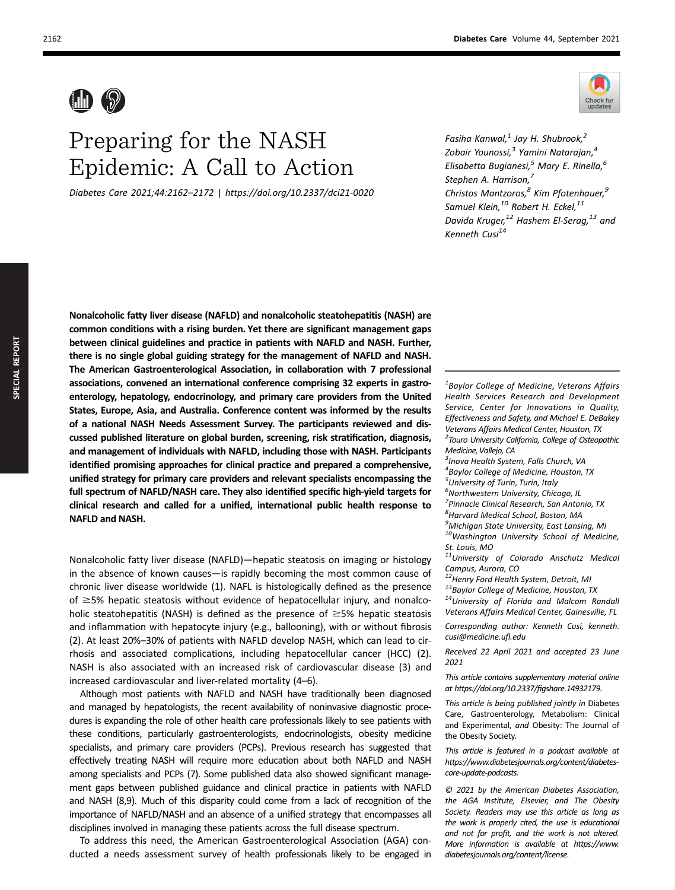# Preparing for the NASH Epidemic: A Call to Action

Diabetes Care 2021;44:2162–2172 | https://doi.org/10.2337/dci21-0020



Fasiha Kanwal, $<sup>1</sup>$  Jay H. Shubrook, $<sup>2</sup>$ </sup></sup> Zobair Younossi,<sup>3</sup> Yamini Natarajan,<sup>4</sup> Elisabetta Bugianesi,<sup>5</sup> Mary E. Rinella,<sup>6</sup> Stephen A. Harrison,<sup>7</sup> Christos Mantzoros,<sup>8</sup> Kim Pfotenhauer,<sup>9</sup> Samuel Klein, $^{10}$  Robert H. Eckel, $^{11}$ Davida Kruger,<sup>12</sup> Hashem El-Serag,<sup>13</sup> and Kenneth Cusi $^{14}$ 

Nonalcoholic fatty liver disease (NAFLD) and nonalcoholic steatohepatitis (NASH) are common conditions with a rising burden. Yet there are significant management gaps between clinical guidelines and practice in patients with NAFLD and NASH. Further, there is no single global guiding strategy for the management of NAFLD and NASH. The American Gastroenterological Association, in collaboration with 7 professional associations, convened an international conference comprising 32 experts in gastroenterology, hepatology, endocrinology, and primary care providers from the United States, Europe, Asia, and Australia. Conference content was informed by the results of a national NASH Needs Assessment Survey. The participants reviewed and discussed published literature on global burden, screening, risk stratification, diagnosis, and management of individuals with NAFLD, including those with NASH. Participants identified promising approaches for clinical practice and prepared a comprehensive, unified strategy for primary care providers and relevant specialists encompassing the full spectrum of NAFLD/NASH care. They also identified specific high-yield targets for clinical research and called for a unified, international public health response to NAFLD and NASH.

Nonalcoholic fatty liver disease (NAFLD)—hepatic steatosis on imaging or histology in the absence of known causes—is rapidly becoming the most common cause of chronic liver disease worldwide (1). NAFL is histologically defined as the presence of  $\geq$ 5% hepatic steatosis without evidence of hepatocellular injury, and nonalcoholic steatohepatitis (NASH) is defined as the presence of  $\geq$ 5% hepatic steatosis and inflammation with hepatocyte injury (e.g., ballooning), with or without fibrosis (2). At least 20%–30% of patients with NAFLD develop NASH, which can lead to cirrhosis and associated complications, including hepatocellular cancer (HCC) (2). NASH is also associated with an increased risk of cardiovascular disease (3) and increased cardiovascular and liver-related mortality (4–6).

Although most patients with NAFLD and NASH have traditionally been diagnosed and managed by hepatologists, the recent availability of noninvasive diagnostic procedures is expanding the role of other health care professionals likely to see patients with these conditions, particularly gastroenterologists, endocrinologists, obesity medicine specialists, and primary care providers (PCPs). Previous research has suggested that effectively treating NASH will require more education about both NAFLD and NASH among specialists and PCPs (7). Some published data also showed significant management gaps between published guidance and clinical practice in patients with NAFLD and NASH (8,9). Much of this disparity could come from a lack of recognition of the importance of NAFLD/NASH and an absence of a unified strategy that encompasses all disciplines involved in managing these patients across the full disease spectrum.

To address this need, the American Gastroenterological Association (AGA) conducted a needs assessment survey of health professionals likely to be engaged in

 ${}^{1}$ Baylor College of Medicine, Veterans Affairs Health Services Research and Development Service, Center for Innovations in Quality, Effectiveness and Safety, and Michael E. DeBakey Veterans Affairs Medical Center, Houston, TX <sup>2</sup> Touro University California, College of Osteopathic Medicine, Vallejo, CA

<sup>3</sup> Inova Health System, Falls Church, VA

4 Baylor College of Medicine, Houston, TX

<sup>5</sup> University of Turin, Turin, Italy

<sup>6</sup>Northwestern University, Chicago, IL

<sup>7</sup> Pinnacle Clinical Research, San Antonio, TX

8 Harvard Medical School, Boston, MA <sup>9</sup>Michigan State University, East Lansing, MI

10Washington University School of Medicine, St. Louis, MO

11University of Colorado Anschutz Medical

Campus, Aurora, CO<br><sup>12</sup>Henry Ford Health System, Detroit, MI

<sup>13</sup>Baylor College of Medicine, Houston, TX<br><sup>14</sup>University of Florida and Malcom Randall Veterans Affairs Medical Center, Gainesville, FL

Corresponding author: Kenneth Cusi, [kenneth.](mailto:kenneth.cusi@medicine.ufl.edu) [cusi@medicine.u](mailto:kenneth.cusi@medicine.ufl.edu)fl.edu

Received 22 April 2021 and accepted 23 June 2021

This article contains supplementary material online at [https://doi.org/10.2337/](https://doi.org/10.2337/figshare.14932179)figshare.14932179.

This article is being published jointly in Diabetes Care, Gastroenterology, Metabolism: Clinical and Experimental, and Obesity: The Journal of the Obesity Society.

This article is featured in a podcast available at [https://www.diabetesjournals.org/content/diabetes](https://www.diabetesjournals.org/content/diabetes-core-update-podcasts)[core-update-podcasts.](https://www.diabetesjournals.org/content/diabetes-core-update-podcasts)

© 2021 by the American Diabetes Association, the AGA Institute, Elsevier, and The Obesity Society. Readers may use this article as long as the work is properly cited, the use is educational and not for profit, and the work is not altered. More information is available at [https://www.](https://www.diabetesjournals.org/content/license) [diabetesjournals.org/content/license](https://www.diabetesjournals.org/content/license).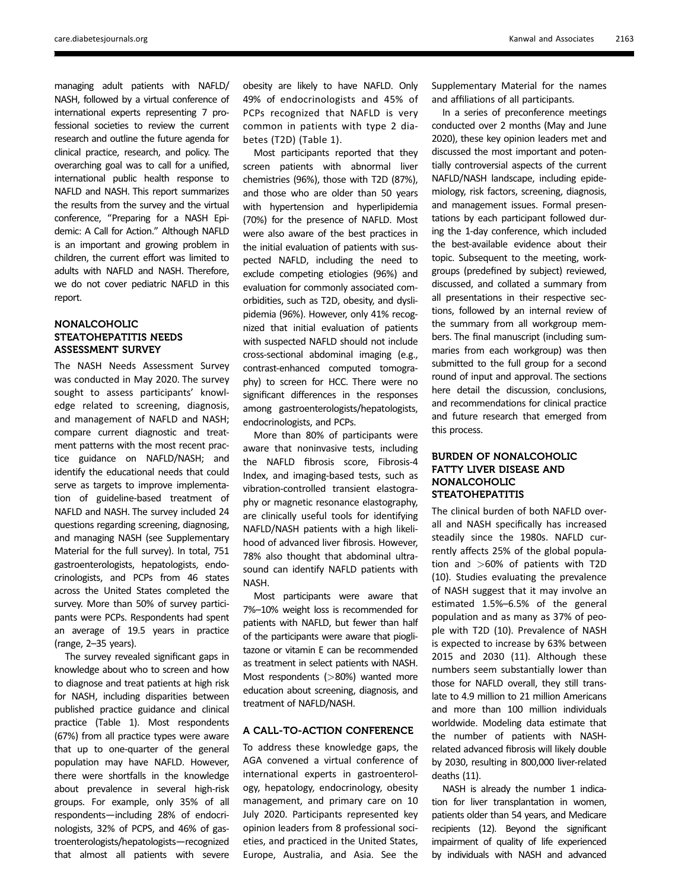managing adult patients with NAFLD/ NASH, followed by a virtual conference of international experts representing 7 professional societies to review the current research and outline the future agenda for clinical practice, research, and policy. The overarching goal was to call for a unified, international public health response to NAFLD and NASH. This report summarizes the results from the survey and the virtual conference, "Preparing for a NASH Epidemic: A Call for Action." Although NAFLD is an important and growing problem in children, the current effort was limited to adults with NAFLD and NASH. Therefore, we do not cover pediatric NAFLD in this report.

# NONALCOHOLIC STEATOHEPATITIS NEEDS ASSESSMENT SURVEY

The NASH Needs Assessment Survey was conducted in May 2020. The survey sought to assess participants' knowledge related to screening, diagnosis, and management of NAFLD and NASH; compare current diagnostic and treatment patterns with the most recent practice guidance on NAFLD/NASH; and identify the educational needs that could serve as targets to improve implementation of guideline-based treatment of NAFLD and NASH. The survey included 24 questions regarding screening, diagnosing, and managing NASH (see [Supplementary](https://doi.org/10.2337/figshare.14932179) [Material](https://doi.org/10.2337/figshare.14932179) for the full survey). In total, 751 gastroenterologists, hepatologists, endocrinologists, and PCPs from 46 states across the United States completed the survey. More than 50% of survey participants were PCPs. Respondents had spent an average of 19.5 years in practice (range, 2–35 years).

The survey revealed significant gaps in knowledge about who to screen and how to diagnose and treat patients at high risk for NASH, including disparities between published practice guidance and clinical practice (Table 1). Most respondents (67%) from all practice types were aware that up to one-quarter of the general population may have NAFLD. However, there were shortfalls in the knowledge about prevalence in several high-risk groups. For example, only 35% of all respondents—including 28% of endocrinologists, 32% of PCPS, and 46% of gastroenterologists/hepatologists—recognized that almost all patients with severe

obesity are likely to have NAFLD. Only 49% of endocrinologists and 45% of PCPs recognized that NAFLD is very common in patients with type 2 diabetes (T2D) (Table 1).

Most participants reported that they screen patients with abnormal liver chemistries (96%), those with T2D (87%), and those who are older than 50 years with hypertension and hyperlipidemia (70%) for the presence of NAFLD. Most were also aware of the best practices in the initial evaluation of patients with suspected NAFLD, including the need to exclude competing etiologies (96%) and evaluation for commonly associated comorbidities, such as T2D, obesity, and dyslipidemia (96%). However, only 41% recognized that initial evaluation of patients with suspected NAFLD should not include cross-sectional abdominal imaging (e.g., contrast-enhanced computed tomography) to screen for HCC. There were no significant differences in the responses among gastroenterologists/hepatologists, endocrinologists, and PCPs.

More than 80% of participants were aware that noninvasive tests, including the NAFLD fibrosis score, Fibrosis-4 Index, and imaging-based tests, such as vibration-controlled transient elastography or magnetic resonance elastography, are clinically useful tools for identifying NAFLD/NASH patients with a high likelihood of advanced liver fibrosis. However, 78% also thought that abdominal ultrasound can identify NAFLD patients with NASH.

Most participants were aware that 7%–10% weight loss is recommended for patients with NAFLD, but fewer than half of the participants were aware that pioglitazone or vitamin E can be recommended as treatment in select patients with NASH. Most respondents (>80%) wanted more education about screening, diagnosis, and treatment of NAFLD/NASH.

## A CALL-TO-ACTION CONFERENCE

To address these knowledge gaps, the AGA convened a virtual conference of international experts in gastroenterology, hepatology, endocrinology, obesity management, and primary care on 10 July 2020. Participants represented key opinion leaders from 8 professional societies, and practiced in the United States, Europe, Australia, and Asia. See the

[Supplementary Material](https://doi.org/10.2337/figshare.14932179) for the names and affiliations of all participants.

In a series of preconference meetings conducted over 2 months (May and June 2020), these key opinion leaders met and discussed the most important and potentially controversial aspects of the current NAFLD/NASH landscape, including epidemiology, risk factors, screening, diagnosis, and management issues. Formal presentations by each participant followed during the 1-day conference, which included the best-available evidence about their topic. Subsequent to the meeting, workgroups (predefined by subject) reviewed, discussed, and collated a summary from all presentations in their respective sections, followed by an internal review of the summary from all workgroup members. The final manuscript (including summaries from each workgroup) was then submitted to the full group for a second round of input and approval. The sections here detail the discussion, conclusions, and recommendations for clinical practice and future research that emerged from this process.

# BURDEN OF NONALCOHOLIC FATTY LIVER DISEASE AND NONALCOHOLIC STEATOHEPATITIS

The clinical burden of both NAFLD overall and NASH specifically has increased steadily since the 1980s. NAFLD currently affects 25% of the global population and >60% of patients with T2D (10). Studies evaluating the prevalence of NASH suggest that it may involve an estimated 1.5%–6.5% of the general population and as many as 37% of people with T2D (10). Prevalence of NASH is expected to increase by 63% between 2015 and 2030 (11). Although these numbers seem substantially lower than those for NAFLD overall, they still translate to 4.9 million to 21 million Americans and more than 100 million individuals worldwide. Modeling data estimate that the number of patients with NASHrelated advanced fibrosis will likely double by 2030, resulting in 800,000 liver-related deaths (11).

NASH is already the number 1 indication for liver transplantation in women, patients older than 54 years, and Medicare recipients (12). Beyond the significant impairment of quality of life experienced by individuals with NASH and advanced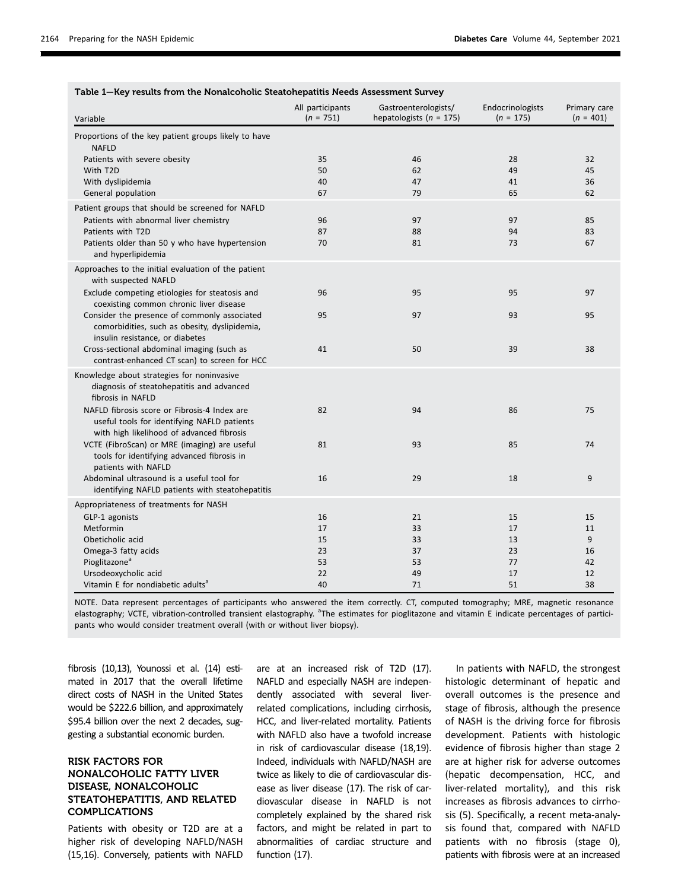| Table 1-Key results from the Nonalcoholic Steatohepatitis Needs Assessment Survey                                                        |                                 |                                                     |                                 |                             |  |
|------------------------------------------------------------------------------------------------------------------------------------------|---------------------------------|-----------------------------------------------------|---------------------------------|-----------------------------|--|
| Variable                                                                                                                                 | All participants<br>$(n = 751)$ | Gastroenterologists/<br>hepatologists ( $n = 175$ ) | Endocrinologists<br>$(n = 175)$ | Primary care<br>$(n = 401)$ |  |
| Proportions of the key patient groups likely to have<br><b>NAFLD</b>                                                                     |                                 |                                                     |                                 |                             |  |
| Patients with severe obesity                                                                                                             | 35                              | 46                                                  | 28                              | 32                          |  |
| With T2D                                                                                                                                 | 50                              | 62                                                  | 49                              | 45                          |  |
| With dyslipidemia                                                                                                                        | 40                              | 47                                                  | 41                              | 36                          |  |
| General population                                                                                                                       | 67                              | 79                                                  | 65                              | 62                          |  |
| Patient groups that should be screened for NAFLD                                                                                         |                                 |                                                     |                                 |                             |  |
| Patients with abnormal liver chemistry                                                                                                   | 96                              | 97                                                  | 97                              | 85                          |  |
| Patients with T2D                                                                                                                        | 87                              | 88                                                  | 94                              | 83                          |  |
| Patients older than 50 y who have hypertension<br>and hyperlipidemia                                                                     | 70                              | 81                                                  | 73                              | 67                          |  |
| Approaches to the initial evaluation of the patient<br>with suspected NAFLD                                                              |                                 |                                                     |                                 |                             |  |
| Exclude competing etiologies for steatosis and<br>coexisting common chronic liver disease                                                | 96                              | 95                                                  | 95                              | 97                          |  |
| Consider the presence of commonly associated<br>comorbidities, such as obesity, dyslipidemia,<br>insulin resistance, or diabetes         | 95                              | 97                                                  | 93                              | 95                          |  |
| Cross-sectional abdominal imaging (such as<br>contrast-enhanced CT scan) to screen for HCC                                               | 41                              | 50                                                  | 39                              | 38                          |  |
| Knowledge about strategies for noninvasive<br>diagnosis of steatohepatitis and advanced<br>fibrosis in NAFLD                             |                                 |                                                     |                                 |                             |  |
| NAFLD fibrosis score or Fibrosis-4 Index are<br>useful tools for identifying NAFLD patients<br>with high likelihood of advanced fibrosis | 82                              | 94                                                  | 86                              | 75                          |  |
| VCTE (FibroScan) or MRE (imaging) are useful<br>tools for identifying advanced fibrosis in<br>patients with NAFLD                        | 81                              | 93                                                  | 85                              | 74                          |  |
| Abdominal ultrasound is a useful tool for<br>identifying NAFLD patients with steatohepatitis                                             | 16                              | 29                                                  | 18                              | 9                           |  |
| Appropriateness of treatments for NASH                                                                                                   |                                 |                                                     |                                 |                             |  |
| GLP-1 agonists                                                                                                                           | 16                              | 21                                                  | 15                              | 15                          |  |
| Metformin                                                                                                                                | 17                              | 33                                                  | 17                              | 11                          |  |
| Obeticholic acid                                                                                                                         | 15                              | 33                                                  | 13                              | 9                           |  |
| Omega-3 fatty acids                                                                                                                      | 23                              | 37                                                  | 23                              | 16                          |  |
| Pioglitazone <sup>a</sup>                                                                                                                | 53                              | 53                                                  | 77                              | 42                          |  |
| Ursodeoxycholic acid                                                                                                                     | 22                              | 49                                                  | 17                              | 12                          |  |
| Vitamin E for nondiabetic adults <sup>a</sup>                                                                                            | 40                              | 71                                                  | 51                              | 38                          |  |

NOTE. Data represent percentages of participants who answered the item correctly. CT, computed tomography; MRE, magnetic resonance elastography; VCTE, vibration-controlled transient elastography. <sup>a</sup>The estimates for pioglitazone and vitamin E indicate percentages of participants who would consider treatment overall (with or without liver biopsy).

fibrosis (10,13), Younossi et al. (14) estimated in 2017 that the overall lifetime direct costs of NASH in the United States would be \$222.6 billion, and approximately \$95.4 billion over the next 2 decades, suggesting a substantial economic burden.

# RISK FACTORS FOR NONALCOHOLIC FATTY LIVER DISEASE, NONALCOHOLIC STEATOHEPATITIS, AND RELATED COMPLICATIONS

Patients with obesity or T2D are at a higher risk of developing NAFLD/NASH (15,16). Conversely, patients with NAFLD are at an increased risk of T2D (17). NAFLD and especially NASH are independently associated with several liverrelated complications, including cirrhosis, HCC, and liver-related mortality. Patients with NAFLD also have a twofold increase in risk of cardiovascular disease (18,19). Indeed, individuals with NAFLD/NASH are twice as likely to die of cardiovascular disease as liver disease (17). The risk of cardiovascular disease in NAFLD is not completely explained by the shared risk factors, and might be related in part to abnormalities of cardiac structure and function (17).

In patients with NAFLD, the strongest histologic determinant of hepatic and overall outcomes is the presence and stage of fibrosis, although the presence of NASH is the driving force for fibrosis development. Patients with histologic evidence of fibrosis higher than stage 2 are at higher risk for adverse outcomes (hepatic decompensation, HCC, and liver-related mortality), and this risk increases as fibrosis advances to cirrhosis (5). Specifically, a recent meta-analysis found that, compared with NAFLD patients with no fibrosis (stage 0), patients with fibrosis were at an increased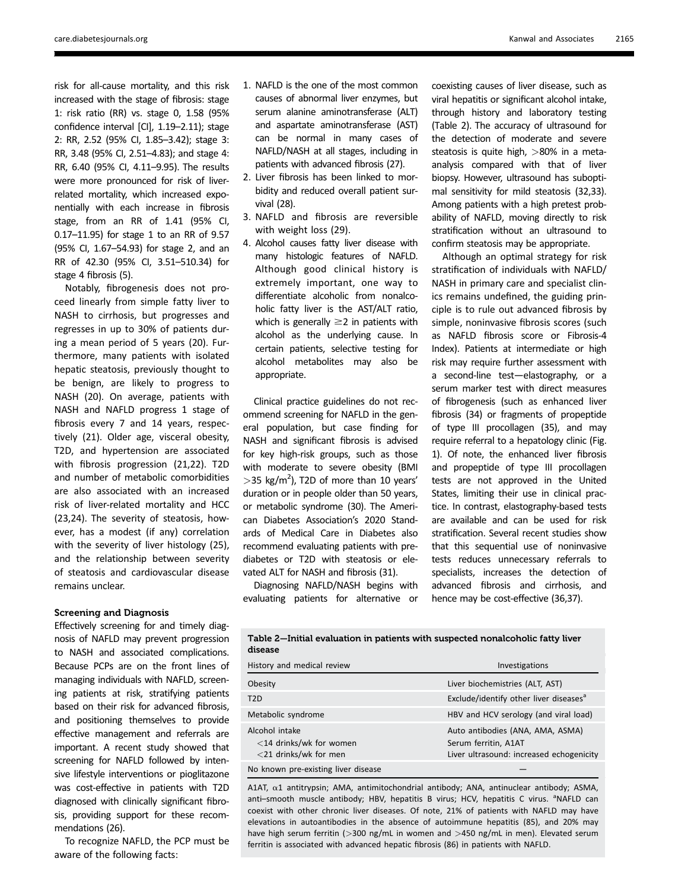risk for all-cause mortality, and this risk increased with the stage of fibrosis: stage 1: risk ratio (RR) vs. stage 0, 1.58 (95% confidence interval [CI], 1.19–2.11); stage 2: RR, 2.52 (95% CI, 1.85–3.42); stage 3: RR, 3.48 (95% CI, 2.51–4.83); and stage 4: RR, 6.40 (95% CI, 4.11–9.95). The results were more pronounced for risk of liverrelated mortality, which increased exponentially with each increase in fibrosis stage, from an RR of 1.41 (95% CI, 0.17–11.95) for stage 1 to an RR of 9.57 (95% CI, 1.67–54.93) for stage 2, and an RR of 42.30 (95% CI, 3.51–510.34) for stage 4 fibrosis (5).

Notably, fibrogenesis does not proceed linearly from simple fatty liver to NASH to cirrhosis, but progresses and regresses in up to 30% of patients during a mean period of 5 years (20). Furthermore, many patients with isolated hepatic steatosis, previously thought to be benign, are likely to progress to NASH (20). On average, patients with NASH and NAFLD progress 1 stage of fibrosis every 7 and 14 years, respectively (21). Older age, visceral obesity, T2D, and hypertension are associated with fibrosis progression (21,22). T2D and number of metabolic comorbidities are also associated with an increased risk of liver-related mortality and HCC (23,24). The severity of steatosis, however, has a modest (if any) correlation with the severity of liver histology (25), and the relationship between severity of steatosis and cardiovascular disease remains unclear.

#### Screening and Diagnosis

Effectively screening for and timely diagnosis of NAFLD may prevent progression to NASH and associated complications. Because PCPs are on the front lines of managing individuals with NAFLD, screening patients at risk, stratifying patients based on their risk for advanced fibrosis, and positioning themselves to provide effective management and referrals are important. A recent study showed that screening for NAFLD followed by intensive lifestyle interventions or pioglitazone was cost-effective in patients with T2D diagnosed with clinically significant fibrosis, providing support for these recommendations (26).

To recognize NAFLD, the PCP must be aware of the following facts:

- 1. NAFLD is the one of the most common causes of abnormal liver enzymes, but serum alanine aminotransferase (ALT) and aspartate aminotransferase (AST) can be normal in many cases of NAFLD/NASH at all stages, including in patients with advanced fibrosis (27).
- 2. Liver fibrosis has been linked to morbidity and reduced overall patient survival (28).
- 3. NAFLD and fibrosis are reversible with weight loss (29).
- 4. Alcohol causes fatty liver disease with many histologic features of NAFLD. Although good clinical history is extremely important, one way to differentiate alcoholic from nonalcoholic fatty liver is the AST/ALT ratio, which is generally  $\geq$  2 in patients with alcohol as the underlying cause. In certain patients, selective testing for alcohol metabolites may also be appropriate.

Clinical practice guidelines do not recommend screening for NAFLD in the general population, but case finding for NASH and significant fibrosis is advised for key high-risk groups, such as those with moderate to severe obesity (BMI  $>$ 35 kg/m<sup>2</sup>), T2D of more than 10 years' duration or in people older than 50 years, or metabolic syndrome (30). The American Diabetes Association's 2020 Standards of Medical Care in Diabetes also recommend evaluating patients with prediabetes or T2D with steatosis or elevated ALT for NASH and fibrosis (31).

Diagnosing NAFLD/NASH begins with evaluating patients for alternative or coexisting causes of liver disease, such as viral hepatitis or significant alcohol intake, through history and laboratory testing (Table 2). The accuracy of ultrasound for the detection of moderate and severe steatosis is quite high, >80% in a metaanalysis compared with that of liver biopsy. However, ultrasound has suboptimal sensitivity for mild steatosis (32,33). Among patients with a high pretest probability of NAFLD, moving directly to risk stratification without an ultrasound to confirm steatosis may be appropriate.

Although an optimal strategy for risk stratification of individuals with NAFLD/ NASH in primary care and specialist clinics remains undefined, the guiding principle is to rule out advanced fibrosis by simple, noninvasive fibrosis scores (such as NAFLD fibrosis score or Fibrosis-4 Index). Patients at intermediate or high risk may require further assessment with a second-line test—elastography, or a serum marker test with direct measures of fibrogenesis (such as enhanced liver fibrosis (34) or fragments of propeptide of type III procollagen (35), and may require referral to a hepatology clinic (Fig. 1). Of note, the enhanced liver fibrosis and propeptide of type III procollagen tests are not approved in the United States, limiting their use in clinical practice. In contrast, elastography-based tests are available and can be used for risk stratification. Several recent studies show that this sequential use of noninvasive tests reduces unnecessary referrals to specialists, increases the detection of advanced fibrosis and cirrhosis, and hence may be cost-effective (36,37).

| Table 2—Initial evaluation in patients with suspected nonalcoholic fatty liver<br>disease |                |  |
|-------------------------------------------------------------------------------------------|----------------|--|
| History and medical review                                                                | Investigations |  |

| Obesity                                                                  | Liver biochemistries (ALT, AST)                                                                      |
|--------------------------------------------------------------------------|------------------------------------------------------------------------------------------------------|
| T <sub>2</sub> D                                                         | Exclude/identify other liver diseases <sup>a</sup>                                                   |
| Metabolic syndrome                                                       | HBV and HCV serology (and viral load)                                                                |
| Alcohol intake<br>$<$ 14 drinks/wk for women<br>$<$ 21 drinks/wk for men | Auto antibodies (ANA, AMA, ASMA)<br>Serum ferritin, A1AT<br>Liver ultrasound: increased echogenicity |
| No known pre-existing liver disease                                      |                                                                                                      |

A1AT,  $\alpha$ 1 antitrypsin; AMA, antimitochondrial antibody; ANA, antinuclear antibody; ASMA, anti-smooth muscle antibody; HBV, hepatitis B virus; HCV, hepatitis C virus. <sup>a</sup>NAFLD can coexist with other chronic liver diseases. Of note, 21% of patients with NAFLD may have elevations in autoantibodies in the absence of autoimmune hepatitis (85), and 20% may have high serum ferritin (>300 ng/mL in women and >450 ng/mL in men). Elevated serum ferritin is associated with advanced hepatic fibrosis (86) in patients with NAFLD.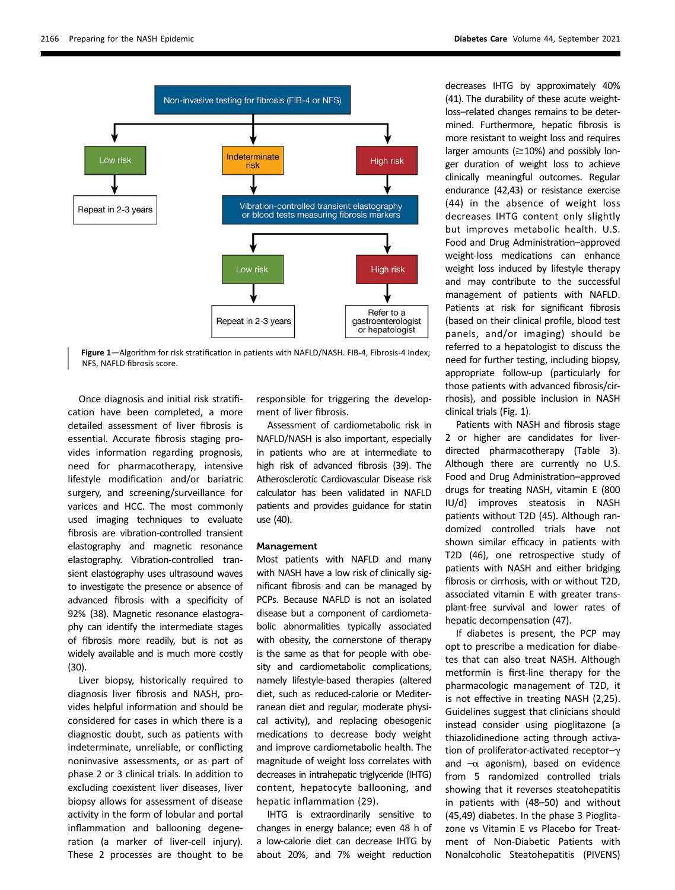

Figure 1-Algorithm for risk stratification in patients with NAFLD/NASH. FIB-4, Fibrosis-4 Index; NFS, NAFLD fibrosis score.

Once diagnosis and initial risk stratification have been completed, a more detailed assessment of liver fibrosis is essential. Accurate fibrosis staging provides information regarding prognosis, need for pharmacotherapy, intensive lifestyle modification and/or bariatric surgery, and screening/surveillance for varices and HCC. The most commonly used imaging techniques to evaluate fibrosis are vibration-controlled transient elastography and magnetic resonance elastography. Vibration-controlled transient elastography uses ultrasound waves to investigate the presence or absence of advanced fibrosis with a specificity of 92% (38). Magnetic resonance elastography can identify the intermediate stages of fibrosis more readily, but is not as widely available and is much more costly (30).

Liver biopsy, historically required to diagnosis liver fibrosis and NASH, provides helpful information and should be considered for cases in which there is a diagnostic doubt, such as patients with indeterminate, unreliable, or conflicting noninvasive assessments, or as part of phase 2 or 3 clinical trials. In addition to excluding coexistent liver diseases, liver biopsy allows for assessment of disease activity in the form of lobular and portal inflammation and ballooning degeneration (a marker of liver-cell injury). These 2 processes are thought to be

responsible for triggering the development of liver fibrosis.

Assessment of cardiometabolic risk in NAFLD/NASH is also important, especially in patients who are at intermediate to high risk of advanced fibrosis (39). The Atherosclerotic Cardiovascular Disease risk calculator has been validated in NAFLD patients and provides guidance for statin use (40).

#### Management

Most patients with NAFLD and many with NASH have a low risk of clinically significant fibrosis and can be managed by PCPs. Because NAFLD is not an isolated disease but a component of cardiometabolic abnormalities typically associated with obesity, the cornerstone of therapy is the same as that for people with obesity and cardiometabolic complications, namely lifestyle-based therapies (altered diet, such as reduced-calorie or Mediterranean diet and regular, moderate physical activity), and replacing obesogenic medications to decrease body weight and improve cardiometabolic health. The magnitude of weight loss correlates with decreases in intrahepatic triglyceride (IHTG) content, hepatocyte ballooning, and hepatic inflammation (29).

IHTG is extraordinarily sensitive to changes in energy balance; even 48 h of a low-calorie diet can decrease IHTG by about 20%, and 7% weight reduction

decreases IHTG by approximately 40% (41). The durability of these acute weightloss–related changes remains to be determined. Furthermore, hepatic fibrosis is more resistant to weight loss and requires larger amounts ( $\geq$ 10%) and possibly longer duration of weight loss to achieve clinically meaningful outcomes. Regular endurance (42,43) or resistance exercise (44) in the absence of weight loss decreases IHTG content only slightly but improves metabolic health. U.S. Food and Drug Administration–approved weight-loss medications can enhance weight loss induced by lifestyle therapy and may contribute to the successful management of patients with NAFLD. Patients at risk for significant fibrosis (based on their clinical profile, blood test panels, and/or imaging) should be referred to a hepatologist to discuss the need for further testing, including biopsy, appropriate follow-up (particularly for those patients with advanced fibrosis/cirrhosis), and possible inclusion in NASH clinical trials (Fig. 1).

Patients with NASH and fibrosis stage 2 or higher are candidates for liverdirected pharmacotherapy (Table 3). Although there are currently no U.S. Food and Drug Administration–approved drugs for treating NASH, vitamin E (800 IU/d) improves steatosis in NASH patients without T2D (45). Although randomized controlled trials have not shown similar efficacy in patients with T2D (46), one retrospective study of patients with NASH and either bridging fibrosis or cirrhosis, with or without T2D, associated vitamin E with greater transplant-free survival and lower rates of hepatic decompensation (47).

If diabetes is present, the PCP may opt to prescribe a medication for diabetes that can also treat NASH. Although metformin is first-line therapy for the pharmacologic management of T2D, it is not effective in treating NASH (2,25). Guidelines suggest that clinicians should instead consider using pioglitazone (a thiazolidinedione acting through activation of proliferator-activated receptor- $\gamma$ and  $-\alpha$  agonism), based on evidence from 5 randomized controlled trials showing that it reverses steatohepatitis in patients with (48–50) and without (45,49) diabetes. In the phase 3 Pioglitazone vs Vitamin E vs Placebo for Treatment of Non-Diabetic Patients with Nonalcoholic Steatohepatitis (PIVENS)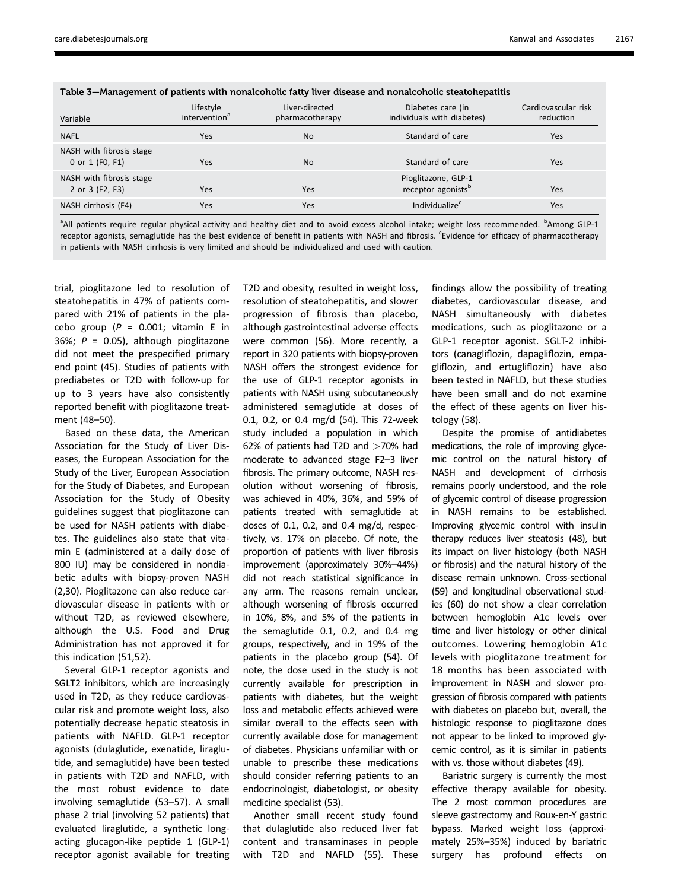| -                                           |                                        |                                   |                                                       |                                  |
|---------------------------------------------|----------------------------------------|-----------------------------------|-------------------------------------------------------|----------------------------------|
| Variable                                    | Lifestyle<br>intervention <sup>a</sup> | Liver-directed<br>pharmacotherapy | Diabetes care (in<br>individuals with diabetes)       | Cardiovascular risk<br>reduction |
| <b>NAFL</b>                                 | <b>Yes</b>                             | <b>No</b>                         | Standard of care                                      | Yes                              |
| NASH with fibrosis stage<br>0 or 1 (F0, F1) | <b>Yes</b>                             | <b>No</b>                         | Standard of care                                      | Yes                              |
| NASH with fibrosis stage<br>2 or 3 (F2, F3) | <b>Yes</b>                             | Yes                               | Pioglitazone, GLP-1<br>receptor agonists <sup>b</sup> | Yes                              |
| NASH cirrhosis (F4)                         | <b>Yes</b>                             | Yes                               | Individualize <sup>c</sup>                            | Yes                              |

Table 3—Management of patients with nonalcoholic fatty liver disease and nonalcoholic steatohepatitis

<sup>a</sup>All patients require regular physical activity and healthy diet and to avoid excess alcohol intake; weight loss recommended. <sup>b</sup>Among GLP-1 receptor agonists, semaglutide has the best evidence of benefit in patients with NASH and fibrosis. <sup>c</sup>Evidence for efficacy of pharmacotherapy in patients with NASH cirrhosis is very limited and should be individualized and used with caution.

trial, pioglitazone led to resolution of steatohepatitis in 47% of patients compared with 21% of patients in the placebo group ( $P = 0.001$ ; vitamin E in 36%;  $P = 0.05$ ), although pioglitazone did not meet the prespecified primary end point (45). Studies of patients with prediabetes or T2D with follow-up for up to 3 years have also consistently reported benefit with pioglitazone treatment (48–50).

Based on these data, the American Association for the Study of Liver Diseases, the European Association for the Study of the Liver, European Association for the Study of Diabetes, and European Association for the Study of Obesity guidelines suggest that pioglitazone can be used for NASH patients with diabetes. The guidelines also state that vitamin E (administered at a daily dose of 800 IU) may be considered in nondiabetic adults with biopsy-proven NASH (2,30). Pioglitazone can also reduce cardiovascular disease in patients with or without T2D, as reviewed elsewhere, although the U.S. Food and Drug Administration has not approved it for this indication (51,52).

Several GLP-1 receptor agonists and SGLT2 inhibitors, which are increasingly used in T2D, as they reduce cardiovascular risk and promote weight loss, also potentially decrease hepatic steatosis in patients with NAFLD. GLP-1 receptor agonists (dulaglutide, exenatide, liraglutide, and semaglutide) have been tested in patients with T2D and NAFLD, with the most robust evidence to date involving semaglutide (53–57). A small phase 2 trial (involving 52 patients) that evaluated liraglutide, a synthetic longacting glucagon-like peptide 1 (GLP-1) receptor agonist available for treating

T2D and obesity, resulted in weight loss, resolution of steatohepatitis, and slower progression of fibrosis than placebo, although gastrointestinal adverse effects were common (56). More recently, a report in 320 patients with biopsy-proven NASH offers the strongest evidence for the use of GLP-1 receptor agonists in patients with NASH using subcutaneously administered semaglutide at doses of 0.1, 0.2, or 0.4 mg/d (54). This 72-week study included a population in which 62% of patients had T2D and >70% had moderate to advanced stage F2–3 liver fibrosis. The primary outcome, NASH resolution without worsening of fibrosis, was achieved in 40%, 36%, and 59% of patients treated with semaglutide at doses of 0.1, 0.2, and 0.4 mg/d, respectively, vs. 17% on placebo. Of note, the proportion of patients with liver fibrosis improvement (approximately 30%–44%) did not reach statistical significance in any arm. The reasons remain unclear, although worsening of fibrosis occurred in 10%, 8%, and 5% of the patients in the semaglutide 0.1, 0.2, and 0.4 mg groups, respectively, and in 19% of the patients in the placebo group (54). Of note, the dose used in the study is not currently available for prescription in patients with diabetes, but the weight loss and metabolic effects achieved were similar overall to the effects seen with currently available dose for management of diabetes. Physicians unfamiliar with or unable to prescribe these medications should consider referring patients to an endocrinologist, diabetologist, or obesity medicine specialist (53).

Another small recent study found that dulaglutide also reduced liver fat content and transaminases in people with T2D and NAFLD (55). These

findings allow the possibility of treating diabetes, cardiovascular disease, and NASH simultaneously with diabetes medications, such as pioglitazone or a GLP-1 receptor agonist. SGLT-2 inhibitors (canagliflozin, dapagliflozin, empagliflozin, and ertugliflozin) have also been tested in NAFLD, but these studies have been small and do not examine the effect of these agents on liver histology (58).

Despite the promise of antidiabetes medications, the role of improving glycemic control on the natural history of NASH and development of cirrhosis remains poorly understood, and the role of glycemic control of disease progression in NASH remains to be established. Improving glycemic control with insulin therapy reduces liver steatosis (48), but its impact on liver histology (both NASH or fibrosis) and the natural history of the disease remain unknown. Cross-sectional (59) and longitudinal observational studies (60) do not show a clear correlation between hemoglobin A1c levels over time and liver histology or other clinical outcomes. Lowering hemoglobin A1c levels with pioglitazone treatment for 18 months has been associated with improvement in NASH and slower progression of fibrosis compared with patients with diabetes on placebo but, overall, the histologic response to pioglitazone does not appear to be linked to improved glycemic control, as it is similar in patients with vs. those without diabetes (49).

Bariatric surgery is currently the most effective therapy available for obesity. The 2 most common procedures are sleeve gastrectomy and Roux-en-Y gastric bypass. Marked weight loss (approximately 25%–35%) induced by bariatric surgery has profound effects on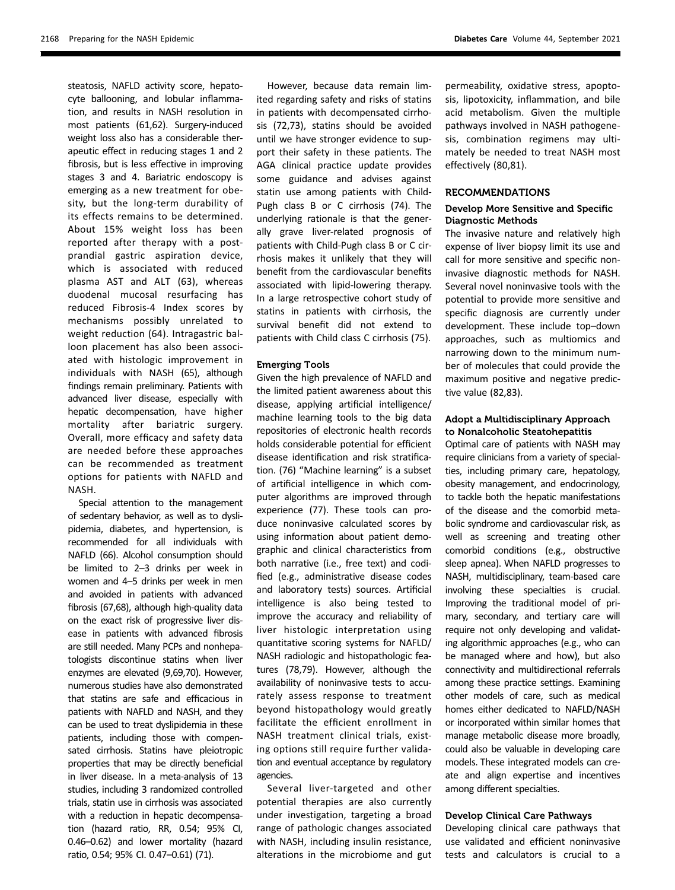steatosis, NAFLD activity score, hepatocyte ballooning, and lobular inflammation, and results in NASH resolution in most patients (61,62). Surgery-induced weight loss also has a considerable therapeutic effect in reducing stages 1 and 2 fibrosis, but is less effective in improving stages 3 and 4. Bariatric endoscopy is emerging as a new treatment for obesity, but the long-term durability of its effects remains to be determined. About 15% weight loss has been reported after therapy with a postprandial gastric aspiration device, which is associated with reduced plasma AST and ALT (63), whereas duodenal mucosal resurfacing has reduced Fibrosis-4 Index scores by mechanisms possibly unrelated to weight reduction (64). Intragastric balloon placement has also been associated with histologic improvement in individuals with NASH (65), although findings remain preliminary. Patients with advanced liver disease, especially with hepatic decompensation, have higher mortality after bariatric surgery. Overall, more efficacy and safety data are needed before these approaches can be recommended as treatment options for patients with NAFLD and NASH.

Special attention to the management of sedentary behavior, as well as to dyslipidemia, diabetes, and hypertension, is recommended for all individuals with NAFLD (66). Alcohol consumption should be limited to 2–3 drinks per week in women and 4–5 drinks per week in men and avoided in patients with advanced fibrosis (67,68), although high-quality data on the exact risk of progressive liver disease in patients with advanced fibrosis are still needed. Many PCPs and nonhepatologists discontinue statins when liver enzymes are elevated (9,69,70). However, numerous studies have also demonstrated that statins are safe and efficacious in patients with NAFLD and NASH, and they can be used to treat dyslipidemia in these patients, including those with compensated cirrhosis. Statins have pleiotropic properties that may be directly beneficial in liver disease. In a meta-analysis of 13 studies, including 3 randomized controlled trials, statin use in cirrhosis was associated with a reduction in hepatic decompensation (hazard ratio, RR, 0.54; 95% CI, 0.46–0.62) and lower mortality (hazard ratio, 0.54; 95% CI. 0.47–0.61) (71).

However, because data remain limited regarding safety and risks of statins in patients with decompensated cirrhosis (72,73), statins should be avoided until we have stronger evidence to support their safety in these patients. The AGA clinical practice update provides some guidance and advises against statin use among patients with Child-Pugh class B or C cirrhosis (74). The underlying rationale is that the generally grave liver-related prognosis of patients with Child-Pugh class B or C cirrhosis makes it unlikely that they will benefit from the cardiovascular benefits associated with lipid-lowering therapy. In a large retrospective cohort study of statins in patients with cirrhosis, the survival benefit did not extend to patients with Child class C cirrhosis (75).

#### Emerging Tools

Given the high prevalence of NAFLD and the limited patient awareness about this disease, applying artificial intelligence/ machine learning tools to the big data repositories of electronic health records holds considerable potential for efficient disease identification and risk stratification. (76) "Machine learning" is a subset of artificial intelligence in which computer algorithms are improved through experience (77). These tools can produce noninvasive calculated scores by using information about patient demographic and clinical characteristics from both narrative (i.e., free text) and codified (e.g., administrative disease codes and laboratory tests) sources. Artificial intelligence is also being tested to improve the accuracy and reliability of liver histologic interpretation using quantitative scoring systems for NAFLD/ NASH radiologic and histopathologic features (78,79). However, although the availability of noninvasive tests to accurately assess response to treatment beyond histopathology would greatly facilitate the efficient enrollment in NASH treatment clinical trials, existing options still require further validation and eventual acceptance by regulatory agencies.

Several liver-targeted and other potential therapies are also currently under investigation, targeting a broad range of pathologic changes associated with NASH, including insulin resistance, alterations in the microbiome and gut

permeability, oxidative stress, apoptosis, lipotoxicity, inflammation, and bile acid metabolism. Given the multiple pathways involved in NASH pathogenesis, combination regimens may ultimately be needed to treat NASH most effectively (80,81).

### RECOMMENDATIONS

## Develop More Sensitive and Specific Diagnostic Methods

The invasive nature and relatively high expense of liver biopsy limit its use and call for more sensitive and specific noninvasive diagnostic methods for NASH. Several novel noninvasive tools with the potential to provide more sensitive and specific diagnosis are currently under development. These include top–down approaches, such as multiomics and narrowing down to the minimum number of molecules that could provide the maximum positive and negative predictive value (82,83).

### Adopt a Multidisciplinary Approach to Nonalcoholic Steatohepatitis

Optimal care of patients with NASH may require clinicians from a variety of specialties, including primary care, hepatology, obesity management, and endocrinology, to tackle both the hepatic manifestations of the disease and the comorbid metabolic syndrome and cardiovascular risk, as well as screening and treating other comorbid conditions (e.g., obstructive sleep apnea). When NAFLD progresses to NASH, multidisciplinary, team-based care involving these specialties is crucial. Improving the traditional model of primary, secondary, and tertiary care will require not only developing and validating algorithmic approaches (e.g., who can be managed where and how), but also connectivity and multidirectional referrals among these practice settings. Examining other models of care, such as medical homes either dedicated to NAFLD/NASH or incorporated within similar homes that manage metabolic disease more broadly, could also be valuable in developing care models. These integrated models can create and align expertise and incentives among different specialties.

## Develop Clinical Care Pathways

Developing clinical care pathways that use validated and efficient noninvasive tests and calculators is crucial to a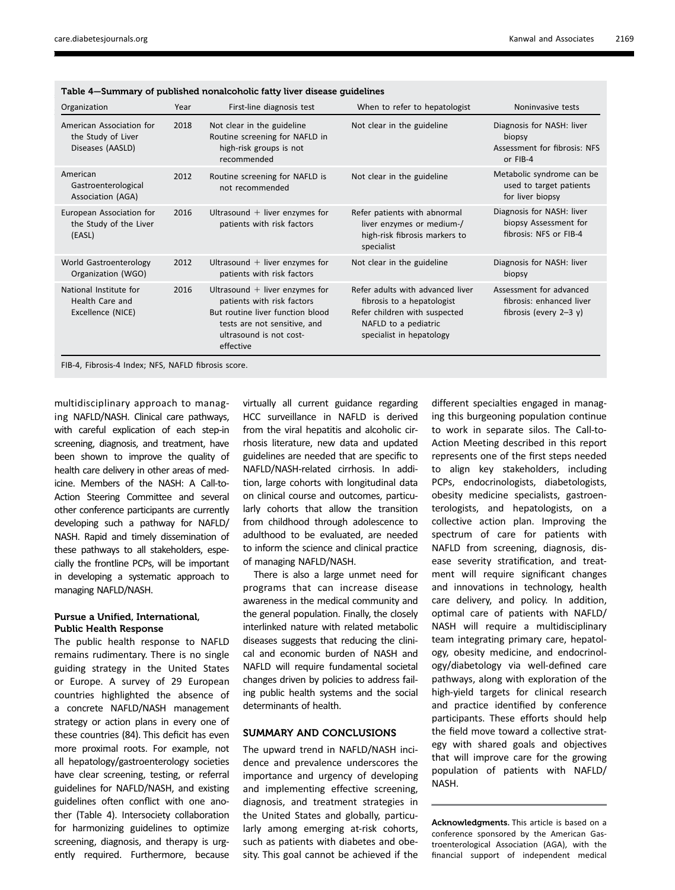| Organization                                                       | Year | First-line diagnosis test                                                                                                                                                  | When to refer to hepatologist                                                                                                                       | Noninvasive tests                                                               |
|--------------------------------------------------------------------|------|----------------------------------------------------------------------------------------------------------------------------------------------------------------------------|-----------------------------------------------------------------------------------------------------------------------------------------------------|---------------------------------------------------------------------------------|
| American Association for<br>the Study of Liver<br>Diseases (AASLD) | 2018 | Not clear in the guideline<br>Routine screening for NAFLD in<br>high-risk groups is not<br>recommended                                                                     | Not clear in the guideline                                                                                                                          | Diagnosis for NASH: liver<br>biopsy<br>Assessment for fibrosis: NFS<br>or FIB-4 |
| American<br>Gastroenterological<br>Association (AGA)               | 2012 | Routine screening for NAFLD is<br>not recommended                                                                                                                          | Not clear in the guideline                                                                                                                          | Metabolic syndrome can be<br>used to target patients<br>for liver biopsy        |
| European Association for<br>the Study of the Liver<br>(EASL)       | 2016 | Ultrasound $+$ liver enzymes for<br>patients with risk factors                                                                                                             | Refer patients with abnormal<br>liver enzymes or medium-/<br>high-risk fibrosis markers to<br>specialist                                            | Diagnosis for NASH: liver<br>biopsy Assessment for<br>fibrosis: NFS or FIB-4    |
| World Gastroenterology<br>Organization (WGO)                       | 2012 | Ultrasound $+$ liver enzymes for<br>patients with risk factors                                                                                                             | Not clear in the guideline                                                                                                                          | Diagnosis for NASH: liver<br>biopsy                                             |
| National Institute for<br>Health Care and<br>Excellence (NICE)     | 2016 | Ultrasound $+$ liver enzymes for<br>patients with risk factors<br>But routine liver function blood<br>tests are not sensitive, and<br>ultrasound is not cost-<br>effective | Refer adults with advanced liver<br>fibrosis to a hepatologist<br>Refer children with suspected<br>NAFLD to a pediatric<br>specialist in hepatology | Assessment for advanced<br>fibrosis: enhanced liver<br>fibrosis (every $2-3$ y) |

| Table 4–Summary of published nonalcoholic fatty liver disease guidelines |  |  |  |
|--------------------------------------------------------------------------|--|--|--|
|--------------------------------------------------------------------------|--|--|--|

FIB-4, Fibrosis-4 Index; NFS, NAFLD fibrosis score.

multidisciplinary approach to managing NAFLD/NASH. Clinical care pathways, with careful explication of each step-in screening, diagnosis, and treatment, have been shown to improve the quality of health care delivery in other areas of medicine. Members of the NASH: A Call-to-Action Steering Committee and several other conference participants are currently developing such a pathway for NAFLD/ NASH. Rapid and timely dissemination of these pathways to all stakeholders, especially the frontline PCPs, will be important in developing a systematic approach to managing NAFLD/NASH.

## Pursue a Unified, International, Public Health Response

The public health response to NAFLD remains rudimentary. There is no single guiding strategy in the United States or Europe. A survey of 29 European countries highlighted the absence of a concrete NAFLD/NASH management strategy or action plans in every one of these countries (84). This deficit has even more proximal roots. For example, not all hepatology/gastroenterology societies have clear screening, testing, or referral guidelines for NAFLD/NASH, and existing guidelines often conflict with one another (Table 4). Intersociety collaboration for harmonizing guidelines to optimize screening, diagnosis, and therapy is urgently required. Furthermore, because

virtually all current guidance regarding HCC surveillance in NAFLD is derived from the viral hepatitis and alcoholic cirrhosis literature, new data and updated guidelines are needed that are specific to NAFLD/NASH-related cirrhosis. In addition, large cohorts with longitudinal data on clinical course and outcomes, particularly cohorts that allow the transition from childhood through adolescence to adulthood to be evaluated, are needed to inform the science and clinical practice of managing NAFLD/NASH.

There is also a large unmet need for programs that can increase disease awareness in the medical community and the general population. Finally, the closely interlinked nature with related metabolic diseases suggests that reducing the clinical and economic burden of NASH and NAFLD will require fundamental societal changes driven by policies to address failing public health systems and the social determinants of health.

## SUMMARY AND CONCLUSIONS

The upward trend in NAFLD/NASH incidence and prevalence underscores the importance and urgency of developing and implementing effective screening, diagnosis, and treatment strategies in the United States and globally, particularly among emerging at-risk cohorts, such as patients with diabetes and obesity. This goal cannot be achieved if the

different specialties engaged in managing this burgeoning population continue to work in separate silos. The Call-to-Action Meeting described in this report represents one of the first steps needed to align key stakeholders, including PCPs, endocrinologists, diabetologists, obesity medicine specialists, gastroenterologists, and hepatologists, on a collective action plan. Improving the spectrum of care for patients with NAFLD from screening, diagnosis, disease severity stratification, and treatment will require significant changes and innovations in technology, health care delivery, and policy. In addition, optimal care of patients with NAFLD/ NASH will require a multidisciplinary team integrating primary care, hepatology, obesity medicine, and endocrinology/diabetology via well-defined care pathways, along with exploration of the high-yield targets for clinical research and practice identified by conference participants. These efforts should help the field move toward a collective strategy with shared goals and objectives that will improve care for the growing population of patients with NAFLD/ NASH.

Acknowledgments. This article is based on a conference sponsored by the American Gastroenterological Association (AGA), with the financial support of independent medical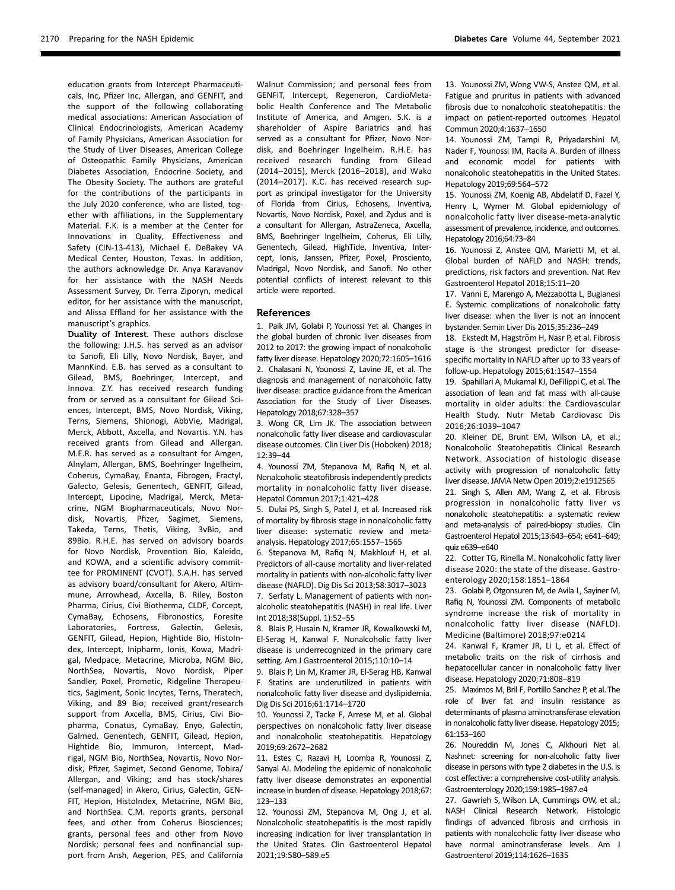education grants from Intercept Pharmaceuticals, Inc, Pfizer Inc, Allergan, and GENFIT, and the support of the following collaborating medical associations: American Association of Clinical Endocrinologists, American Academy of Family Physicians, American Association for the Study of Liver Diseases, American College of Osteopathic Family Physicians, American Diabetes Association, Endocrine Society, and The Obesity Society. The authors are grateful for the contributions of the participants in the July 2020 conference, who are listed, together with affiliations, in the [Supplementary](https://doi.org/10.2337/figshare.14932179) [Material](https://doi.org/10.2337/figshare.14932179). F.K. is a member at the Center for Innovations in Quality, Effectiveness and Safety (CIN-13-413), Michael E. DeBakey VA Medical Center, Houston, Texas. In addition, the authors acknowledge Dr. Anya Karavanov for her assistance with the NASH Needs Assessment Survey, Dr. Terra Ziporyn, medical editor, for her assistance with the manuscript, and Alissa Effland for her assistance with the manuscript's graphics.

Duality of Interest. These authors disclose the following: J.H.S. has served as an advisor to Sanofi, Eli Lilly, Novo Nordisk, Bayer, and MannKind. E.B. has served as a consultant to Gilead, BMS, Boehringer, Intercept, and Innova. Z.Y. has received research funding from or served as a consultant for Gilead Sciences, Intercept, BMS, Novo Nordisk, Viking, Terns, Siemens, Shionogi, AbbVie, Madrigal, Merck, Abbott, Axcella, and Novartis. Y.N. has received grants from Gilead and Allergan. M.E.R. has served as a consultant for Amgen, Alnylam, Allergan, BMS, Boehringer Ingelheim, Coherus, CymaBay, Enanta, Fibrogen, Fractyl, Galecto, Gelesis, Genentech, GENFIT, Gilead, Intercept, Lipocine, Madrigal, Merck, Metacrine, NGM Biopharmaceuticals, Novo Nordisk, Novartis, Pfizer, Sagimet, Siemens, Takeda, Terns, Thetis, Viking, 3vBio, and 89Bio. R.H.E. has served on advisory boards for Novo Nordisk, Provention Bio, Kaleido, and KOWA, and a scientific advisory committee for PROMINENT (CVOT). S.A.H. has served as advisory board/consultant for Akero, Altimmune, Arrowhead, Axcella, B. Riley, Boston Pharma, Cirius, Civi Biotherma, CLDF, Corcept, CymaBay, Echosens, Fibronostics, Foresite Laboratories, Fortress, Galectin, Gelesis, GENFIT, Gilead, Hepion, Hightide Bio, HistoIndex, Intercept, Inipharm, Ionis, Kowa, Madrigal, Medpace, Metacrine, Microba, NGM Bio, NorthSea, Novartis, Novo Nordisk, Piper Sandler, Poxel, Prometic, Ridgeline Therapeutics, Sagiment, Sonic Incytes, Terns, Theratech, Viking, and 89 Bio; received grant/research support from Axcella, BMS, Cirius, Civi Biopharma, Conatus, CymaBay, Enyo, Galectin, Galmed, Genentech, GENFIT, Gilead, Hepion, Hightide Bio, Immuron, Intercept, Madrigal, NGM Bio, NorthSea, Novartis, Novo Nordisk, Pfizer, Sagimet, Second Genome, Tobira/ Allergan, and Viking; and has stock/shares (self-managed) in Akero, Cirius, Galectin, GEN-FIT, Hepion, HistoIndex, Metacrine, NGM Bio, and NorthSea. C.M. reports grants, personal fees, and other from Coherus Biosciences; grants, personal fees and other from Novo Nordisk; personal fees and nonfinancial support from Ansh, Aegerion, PES, and California

Walnut Commission; and personal fees from GENFIT, Intercept, Regeneron, CardioMetabolic Health Conference and The Metabolic Institute of America, and Amgen. S.K. is a shareholder of Aspire Bariatrics and has served as a consultant for Pfizer, Novo Nordisk, and Boehringer Ingelheim. R.H.E. has received research funding from Gilead (2014–2015), Merck (2016–2018), and Wako (2014–2017). K.C. has received research support as principal investigator for the University of Florida from Cirius, Echosens, Inventiva, Novartis, Novo Nordisk, Poxel, and Zydus and is a consultant for Allergan, AstraZeneca, Axcella, BMS, Boehringer Ingelheim, Coherus, Eli Lilly, Genentech, Gilead, HighTide, Inventiva, Intercept, Ionis, Janssen, Pfizer, Poxel, Prosciento, Madrigal, Novo Nordisk, and Sanofi. No other potential conflicts of interest relevant to this article were reported.

#### References

1. Paik JM, Golabi P, Younossi Yet al. Changes in the global burden of chronic liver diseases from 2012 to 2017: the growing impact of nonalcoholic fatty liver disease. Hepatology 2020;72:1605–1616 2. Chalasani N, Younossi Z, Lavine JE, et al. The diagnosis and management of nonalcoholic fatty liver disease: practice guidance from the American Association for the Study of Liver Diseases. Hepatology 2018;67:328–357

3. Wong CR, Lim JK. The association between nonalcoholic fatty liver disease and cardiovascular disease outcomes. Clin Liver Dis (Hoboken) 2018; 12:39–44

4. Younossi ZM, Stepanova M, Rafiq N, et al. Nonalcoholic steatofibrosis independently predicts mortality in nonalcoholic fatty liver disease. Hepatol Commun 2017;1:421–428

5. Dulai PS, Singh S, Patel J, et al. Increased risk of mortality by fibrosis stage in nonalcoholic fatty liver disease: systematic review and metaanalysis. Hepatology 2017;65:1557–1565

6. Stepanova M, Rafiq N, Makhlouf H, et al. Predictors of all-cause mortality and liver-related mortality in patients with non-alcoholic fatty liver disease (NAFLD). Dig Dis Sci 2013;58:3017–3023

7. Serfaty L. Management of patients with nonalcoholic steatohepatitis (NASH) in real life. Liver Int 2018;38(Suppl. 1):52–55

8. Blais P, Husain N, Kramer JR, Kowalkowski M, El-Serag H, Kanwal F. Nonalcoholic fatty liver disease is underrecognized in the primary care setting. Am J Gastroenterol 2015;110:10–14

9. Blais P, Lin M, Kramer JR, El-Serag HB, Kanwal F. Statins are underutilized in patients with nonalcoholic fatty liver disease and dyslipidemia. Dig Dis Sci 2016;61:1714–1720

10. Younossi Z, Tacke F, Arrese M, et al. Global perspectives on nonalcoholic fatty liver disease and nonalcoholic steatohepatitis. Hepatology 2019;69:2672–2682

11. Estes C, Razavi H, Loomba R, Younossi Z, Sanyal AJ. Modeling the epidemic of nonalcoholic fatty liver disease demonstrates an exponential increase in burden of disease. Hepatology 2018;67: 123–133

12. Younossi ZM, Stepanova M, Ong J, et al. Nonalcoholic steatohepatitis is the most rapidly increasing indication for liver transplantation in the United States. Clin Gastroenterol Hepatol 2021;19:580–589.e5

13. Younossi ZM, Wong VW-S, Anstee QM, et al. Fatigue and pruritus in patients with advanced fibrosis due to nonalcoholic steatohepatitis: the impact on patient-reported outcomes. Hepatol Commun 2020;4:1637–1650

14. Younossi ZM, Tampi R, Priyadarshini M, Nader F, Younossi IM, Racila A. Burden of illness and economic model for patients with nonalcoholic steatohepatitis in the United States. Hepatology 2019;69:564–572

15. Younossi ZM, Koenig AB, Abdelatif D, Fazel Y, Henry L, Wymer M. Global epidemiology of nonalcoholic fatty liver disease-meta-analytic assessment of prevalence, incidence, and outcomes. Hepatology 2016;64:73–84

16. Younossi Z, Anstee QM, Marietti M, et al. Global burden of NAFLD and NASH: trends, predictions, risk factors and prevention. Nat Rev Gastroenterol Hepatol 2018;15:11–20

17. Vanni E, Marengo A, Mezzabotta L, Bugianesi E. Systemic complications of nonalcoholic fatty liver disease: when the liver is not an innocent bystander. Semin Liver Dis 2015;35:236–249

18. Ekstedt M, Hagström H, Nasr P, et al. Fibrosis stage is the strongest predictor for diseasespecific mortality in NAFLD after up to 33 years of follow-up. Hepatology 2015;61:1547–1554

19. Spahillari A, Mukamal KJ, DeFilippi C, et al.The association of lean and fat mass with all-cause mortality in older adults: the Cardiovascular Health Study. Nutr Metab Cardiovasc Dis 2016;26:1039–1047

20. Kleiner DE, Brunt EM, Wilson LA, et al.; Nonalcoholic Steatohepatitis Clinical Research Network. Association of histologic disease activity with progression of nonalcoholic fatty liver disease. JAMA Netw Open 2019;2:e1912565 21. Singh S, Allen AM, Wang Z, et al. Fibrosis progression in nonalcoholic fatty liver vs nonalcoholic steatohepatitis: a systematic review and meta-analysis of paired-biopsy studies. Clin Gastroenterol Hepatol 2015;13:643–654; e641–649; quiz e639–e640

22. Cotter TG, Rinella M. Nonalcoholic fatty liver disease 2020: the state of the disease. Gastroenterology 2020;158:1851–1864

23. Golabi P, Otgonsuren M, de Avila L, Sayiner M, Rafiq N, Younossi ZM. Components of metabolic syndrome increase the risk of mortality in nonalcoholic fatty liver disease (NAFLD). Medicine (Baltimore) 2018;97:e0214

24. Kanwal F, Kramer JR, Li L, et al. Effect of metabolic traits on the risk of cirrhosis and hepatocellular cancer in nonalcoholic fatty liver disease. Hepatology 2020;71:808–819

25. Maximos M, Bril F, Portillo Sanchez P, et al.The role of liver fat and insulin resistance as determinants of plasma aminotransferase elevation in nonalcoholic fatty liver disease. Hepatology 2015; 61:153–160

26. Noureddin M, Jones C, Alkhouri Net al. Nashnet: screening for non-alcoholic fatty liver disease in persons with type 2 diabetes in the U.S. is cost effective: a comprehensive cost-utility analysis. Gastroenterology 2020;159:1985–1987.e4

27. Gawrieh S, Wilson LA, Cummings OW, et al.; NASH Clinical Research Network. Histologic findings of advanced fibrosis and cirrhosis in patients with nonalcoholic fatty liver disease who have normal aminotransferase levels. Am J Gastroenterol 2019;114:1626–1635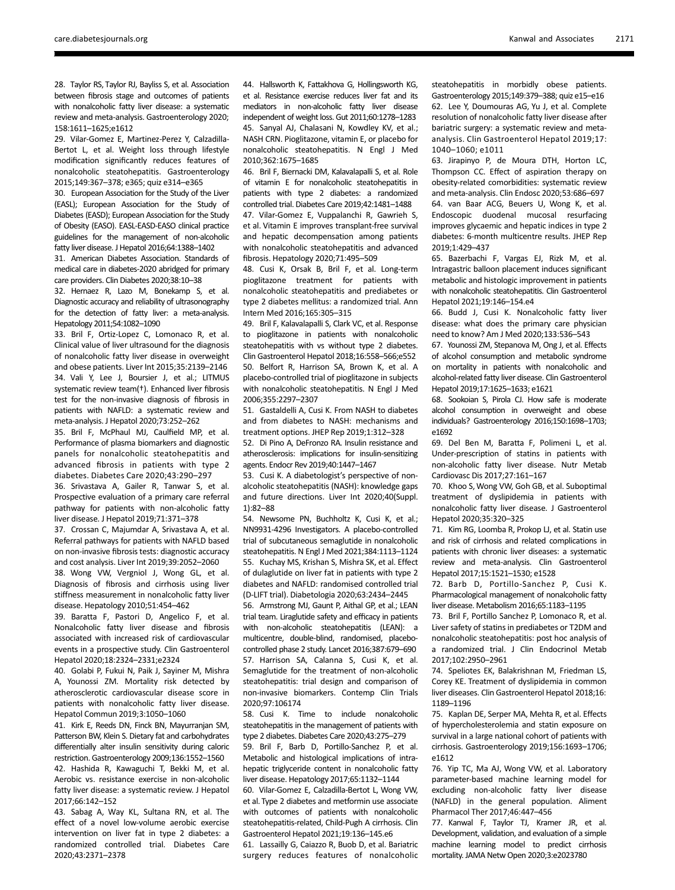28. Taylor RS, Taylor RJ, Bayliss S, et al. Association between fibrosis stage and outcomes of patients with nonalcoholic fatty liver disease: a systematic review and meta-analysis. Gastroenterology 2020; 158:1611–1625;e1612

29. Vilar-Gomez E, Martinez-Perez Y, Calzadilla-Bertot L, et al. Weight loss through lifestyle modification significantly reduces features of nonalcoholic steatohepatitis. Gastroenterology 2015;149:367–378; e365; quiz e314–e365

30. European Association for the Study of the Liver (EASL); European Association for the Study of Diabetes (EASD); European Association for the Study of Obesity (EASO). EASL-EASD-EASO clinical practice guidelines for the management of non-alcoholic fatty liver disease. J Hepatol 2016;64:1388–1402

31. American Diabetes Association. Standards of medical care in diabetes-2020 abridged for primary care providers. Clin Diabetes 2020;38:10–38

32. Hernaez R, Lazo M, Bonekamp S, et al. Diagnostic accuracy and reliability of ultrasonography for the detection of fatty liver: a meta-analysis. Hepatology 2011;54:1082–1090

33. Bril F, Ortiz-Lopez C, Lomonaco R, et al. Clinical value of liver ultrasound for the diagnosis of nonalcoholic fatty liver disease in overweight and obese patients. Liver Int 2015;35:2139–2146 34. Vali Y, Lee J, Boursier J, et al.; LITMUS systematic review team(†). Enhanced liver fibrosis test for the non-invasive diagnosis of fibrosis in patients with NAFLD: a systematic review and meta-analysis. J Hepatol 2020;73:252–262

35. Bril F, McPhaul MJ, Caulfield MP, et al. Performance of plasma biomarkers and diagnostic panels for nonalcoholic steatohepatitis and advanced fibrosis in patients with type 2 diabetes. Diabetes Care 2020;43:290–297

36. Srivastava A, Gailer R, Tanwar S, et al. Prospective evaluation of a primary care referral pathway for patients with non-alcoholic fatty liver disease. J Hepatol 2019;71:371–378

37. Crossan C, Majumdar A, Srivastava A, et al. Referral pathways for patients with NAFLD based on non-invasive fibrosis tests: diagnostic accuracy and cost analysis. Liver Int 2019;39:2052–2060

38. Wong VW, Vergniol J, Wong GL, et al. Diagnosis of fibrosis and cirrhosis using liver stiffness measurement in nonalcoholic fatty liver disease. Hepatology 2010;51:454–462

39. Baratta F, Pastori D, Angelico F, et al. Nonalcoholic fatty liver disease and fibrosis associated with increased risk of cardiovascular events in a prospective study. Clin Gastroenterol Hepatol 2020;18:2324–2331;e2324

40. Golabi P, Fukui N, Paik J, Sayiner M, Mishra A, Younossi ZM. Mortality risk detected by atherosclerotic cardiovascular disease score in patients with nonalcoholic fatty liver disease. Hepatol Commun 2019;3:1050–1060

41. Kirk E, Reeds DN, Finck BN, Mayurranjan SM, Patterson BW, Klein S. Dietary fat and carbohydrates differentially alter insulin sensitivity during caloric restriction. Gastroenterology 2009;136:1552–1560

42. Hashida R, Kawaguchi T, Bekki M, et al. Aerobic vs. resistance exercise in non-alcoholic fatty liver disease: a systematic review. J Hepatol 2017;66:142–152

43. Sabag A, Way KL, Sultana RN, et al. The effect of a novel low-volume aerobic exercise intervention on liver fat in type 2 diabetes: a randomized controlled trial. Diabetes Care 2020;43:2371–2378

44. Hallsworth K, Fattakhova G, Hollingsworth KG, et al. Resistance exercise reduces liver fat and its mediators in non-alcoholic fatty liver disease independent of weight loss. Gut 2011;60:1278–1283 45. Sanyal AJ, Chalasani N, Kowdley KV, et al.; NASH CRN. Pioglitazone, vitamin E, or placebo for nonalcoholic steatohepatitis. N Engl J Med 2010;362:1675–1685

46. Bril F, Biernacki DM, Kalavalapalli S, et al. Role of vitamin E for nonalcoholic steatohepatitis in patients with type 2 diabetes: a randomized controlled trial. Diabetes Care 2019;42:1481–1488

47. Vilar-Gomez E, Vuppalanchi R, Gawrieh S, et al. Vitamin E improves transplant-free survival and hepatic decompensation among patients with nonalcoholic steatohepatitis and advanced fibrosis. Hepatology 2020;71:495–509

48. Cusi K, Orsak B, Bril F, et al. Long-term pioglitazone treatment for patients with nonalcoholic steatohepatitis and prediabetes or type 2 diabetes mellitus: a randomized trial. Ann Intern Med 2016;165:305–315

49. Bril F, Kalavalapalli S, Clark VC, et al. Response to pioglitazone in patients with nonalcoholic steatohepatitis with vs without type 2 diabetes. Clin Gastroenterol Hepatol 2018;16:558–566;e552 50. Belfort R, Harrison SA, Brown K, et al. A placebo-controlled trial of pioglitazone in subjects with nonalcoholic steatohepatitis. N Engl J Med 2006;355:2297–2307

51. Gastaldelli A, Cusi K. From NASH to diabetes and from diabetes to NASH: mechanisms and treatment options. JHEP Rep 2019;1:312–328

52. Di Pino A, DeFronzo RA. Insulin resistance and atherosclerosis: implications for insulin-sensitizing agents. Endocr Rev 2019;40:1447–1467

53. Cusi K. A diabetologist's perspective of nonalcoholic steatohepatitis (NASH): knowledge gaps and future directions. Liver Int 2020;40(Suppl. 1):82–88

54. Newsome PN, Buchholtz K, Cusi K, et al.; NN9931-4296 Investigators. A placebo-controlled trial of subcutaneous semaglutide in nonalcoholic steatohepatitis. N Engl J Med 2021;384:1113–1124 55. Kuchay MS, Krishan S, Mishra SK, et al. Effect of dulaglutide on liver fat in patients with type 2 diabetes and NAFLD: randomised controlled trial (D-LIFT trial). Diabetologia 2020;63:2434–2445

56. Armstrong MJ, Gaunt P, Aithal GP, et al.; LEAN trial team. Liraglutide safety and efficacy in patients with non-alcoholic steatohepatitis (LEAN): a multicentre, double-blind, randomised, placebocontrolled phase 2 study. Lancet 2016;387:679–690 57. Harrison SA, Calanna S, Cusi K, et al. Semaglutide for the treatment of non-alcoholic steatohepatitis: trial design and comparison of non-invasive biomarkers. Contemp Clin Trials 2020;97:106174

58. Cusi K. Time to include nonalcoholic steatohepatitis in the management of patients with type 2 diabetes. Diabetes Care 2020;43:275–279

59. Bril F, Barb D, Portillo-Sanchez P, et al. Metabolic and histological implications of intrahepatic triglyceride content in nonalcoholic fatty liver disease. Hepatology 2017;65:1132–1144

60. Vilar-Gomez E, Calzadilla-Bertot L, Wong VW, et al. Type 2 diabetes and metformin use associate with outcomes of patients with nonalcoholic steatohepatitis-related, Child-Pugh A cirrhosis. Clin Gastroenterol Hepatol 2021;19:136–145.e6

61. Lassailly G, Caiazzo R, Buob D, et al. Bariatric surgery reduces features of nonalcoholic steatohepatitis in morbidly obese patients. Gastroenterology 2015;149:379–388; quiz e15–e16 62. Lee Y, Doumouras AG, Yu J, et al. Complete resolution of nonalcoholic fatty liver disease after bariatric surgery: a systematic review and metaanalysis. Clin Gastroenterol Hepatol 2019;17: 1040–1060; e1011

63. Jirapinyo P, de Moura DTH, Horton LC, Thompson CC. Effect of aspiration therapy on obesity-related comorbidities: systematic review and meta-analysis. Clin Endosc 2020;53:686–697 64. van Baar ACG, Beuers U, Wong K, et al. Endoscopic duodenal mucosal resurfacing improves glycaemic and hepatic indices in type 2 diabetes: 6-month multicentre results. JHEP Rep 2019;1:429–437

65. Bazerbachi F, Vargas EJ, Rizk M, et al. Intragastric balloon placement induces significant metabolic and histologic improvement in patients with nonalcoholic steatohepatitis. Clin Gastroenterol Hepatol 2021;19:146–154.e4

66. Budd J, Cusi K. Nonalcoholic fatty liver disease: what does the primary care physician need to know? Am J Med 2020;133:536–543

67. Younossi ZM, Stepanova M, Ong J, et al. Effects of alcohol consumption and metabolic syndrome on mortality in patients with nonalcoholic and alcohol-related fatty liver disease. Clin Gastroenterol Hepatol 2019;17:1625–1633; e1621

68. Sookoian S, Pirola CJ. How safe is moderate alcohol consumption in overweight and obese individuals? Gastroenterology 2016;150:1698–1703; e1692

69. Del Ben M, Baratta F, Polimeni L, et al. Under-prescription of statins in patients with non-alcoholic fatty liver disease. Nutr Metab Cardiovasc Dis 2017;27:161–167

70. Khoo S, Wong VW, Goh GB, et al. Suboptimal treatment of dyslipidemia in patients with nonalcoholic fatty liver disease. J Gastroenterol Hepatol 2020;35:320–325

71. Kim RG, Loomba R, Prokop LJ, et al. Statin use and risk of cirrhosis and related complications in patients with chronic liver diseases: a systematic review and meta-analysis. Clin Gastroenterol Hepatol 2017;15:1521–1530; e1528

72. Barb D, Portillo-Sanchez P, Cusi K. Pharmacological management of nonalcoholic fatty liver disease. Metabolism 2016;65:1183–1195

73. Bril F, Portillo Sanchez P, Lomonaco R, et al. Liver safety of statins in prediabetes or T2DM and nonalcoholic steatohepatitis: post hoc analysis of a randomized trial. J Clin Endocrinol Metab 2017;102:2950–2961

74. Speliotes EK, Balakrishnan M, Friedman LS, Corey KE. Treatment of dyslipidemia in common liver diseases. Clin Gastroenterol Hepatol 2018;16: 1189–1196

75. Kaplan DE, Serper MA, Mehta R, et al. Effects of hypercholesterolemia and statin exposure on survival in a large national cohort of patients with cirrhosis. Gastroenterology 2019;156:1693–1706; e1612

76. Yip TC, Ma AJ, Wong VW, et al. Laboratory parameter-based machine learning model for excluding non-alcoholic fatty liver disease (NAFLD) in the general population. Aliment Pharmacol Ther 2017;46:447–456

77. Kanwal F, Taylor TJ, Kramer JR, et al. Development, validation, and evaluation of a simple machine learning model to predict cirrhosis mortality. JAMA Netw Open 2020;3:e2023780